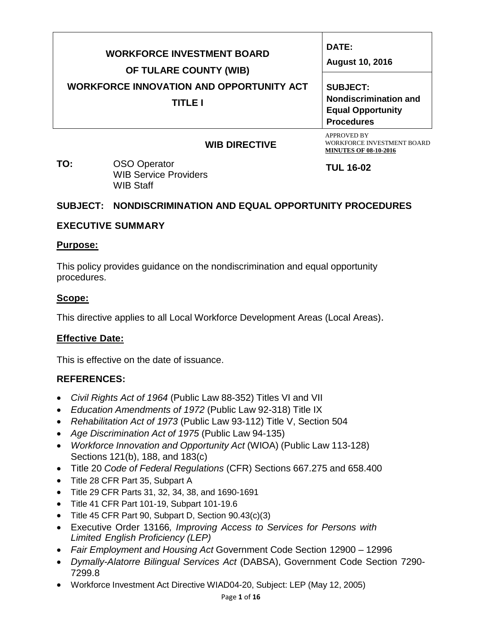| <b>WORKFORCE INVESTMENT BOARD</b><br>OF TULARE COUNTY (WIB)<br><b>WORKFORCE INNOVATION AND OPPORTUNITY ACT</b><br><b>TITLE I</b> | DATE:<br><b>August 10, 2016</b><br><b>SUBJECT:</b><br><b>Nondiscrimination and</b><br><b>Equal Opportunity</b><br><b>Procedures</b> |
|----------------------------------------------------------------------------------------------------------------------------------|-------------------------------------------------------------------------------------------------------------------------------------|
| <b>WIB DIRECTIVE</b>                                                                                                             | <b>APPROVED BY</b><br>WORKFORCE INVESTMENT BOARD                                                                                    |

**TO:** OSO Operator WIB Service Providers WIB Staff

**TUL 16-02**

**MINUTES OF 08-10-2016.**

# **SUBJECT: NONDISCRIMINATION AND EQUAL OPPORTUNITY PROCEDURES**

# **EXECUTIVE SUMMARY**

#### **Purpose:**

This policy provides guidance on the nondiscrimination and equal opportunity procedures.

# **Scope:**

This directive applies to all Local Workforce Development Areas (Local Areas).

# **Effective Date:**

This is effective on the date of issuance.

# **REFERENCES:**

- *Civil Rights Act of 1964* (Public Law 88-352) Titles VI and VII
- *Education Amendments of 1972* (Public Law 92-318) Title IX
- *Rehabilitation Act of 1973* (Public Law 93-112) Title V, Section 504
- *Age Discrimination Act of 1975* (Public Law 94-135)
- *Workforce Innovation and Opportunity Act* (WIOA) (Public Law 113-128) Sections 121(b), 188, and 183(c)
- Title 20 *Code of Federal Regulations* (CFR) Sections 667.275 and 658.400
- Title 28 CFR Part 35, Subpart A
- Title 29 CFR Parts 31, 32, 34, 38, and 1690-1691
- Title 41 CFR Part 101-19, Subpart 101-19.6
- Title 45 CFR Part 90, Subpart D, Section 90.43(c)(3)
- Executive Order 13166*, Improving Access to Services for Persons with Limited English Proficiency (LEP)*
- *Fair Employment and Housing Act* Government Code Section 12900 12996
- *Dymally-Alatorre Bilingual Services Act* (DABSA), Government Code Section 7290- 7299.8
- Workforce Investment Act Directive WIAD04-20, Subject: LEP (May 12, 2005)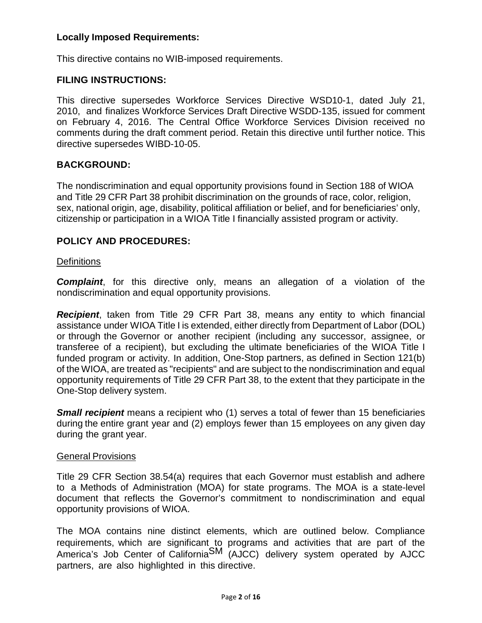# **Locally Imposed Requirements:**

This directive contains no WIB-imposed requirements.

# **FILING INSTRUCTIONS:**

This directive supersedes Workforce Services Directive WSD10-1, dated July 21, 2010, and finalizes Workforce Services Draft Directive WSDD-135, issued for comment on February 4, 2016. The Central Office Workforce Services Division received no comments during the draft comment period. Retain this directive until further notice. This directive supersedes WIBD-10-05.

# **BACKGROUND:**

The nondiscrimination and equal opportunity provisions found in Section 188 of WIOA and Title 29 CFR Part 38 prohibit discrimination on the grounds of race, color, religion, sex, national origin, age, disability, political affiliation or belief, and for beneficiaries' only, citizenship or participation in a WIOA Title I financially assisted program or activity.

# **POLICY AND PROCEDURES:**

### **Definitions**

**Complaint**, for this directive only, means an allegation of a violation of the nondiscrimination and equal opportunity provisions.

*Recipient*, taken from Title 29 CFR Part 38, means any entity to which financial assistance under WIOA Title I is extended, either directly from Department of Labor (DOL) or through the Governor or another recipient (including any successor, assignee, or transferee of a recipient), but excluding the ultimate beneficiaries of the WIOA Title I funded program or activity. In addition, One-Stop partners, as defined in Section 121(b) of the WIOA, are treated as "recipients" and are subject to the nondiscrimination and equal opportunity requirements of Title 29 CFR Part 38, to the extent that they participate in the One-Stop delivery system.

*Small recipient* means a recipient who (1) serves a total of fewer than 15 beneficiaries during the entire grant year and (2) employs fewer than 15 employees on any given day during the grant year.

#### General Provisions

Title 29 CFR Section 38.54(a) requires that each Governor must establish and adhere to a Methods of Administration (MOA) for state programs. The MOA is a state-level document that reflects the Governor's commitment to nondiscrimination and equal opportunity provisions of WIOA.

The MOA contains nine distinct elements, which are outlined below. Compliance requirements, which are significant to programs and activities that are part of the America's Job Center of California<sup>SM</sup> (AJCC) delivery system operated by AJCC partners, are also highlighted in this directive.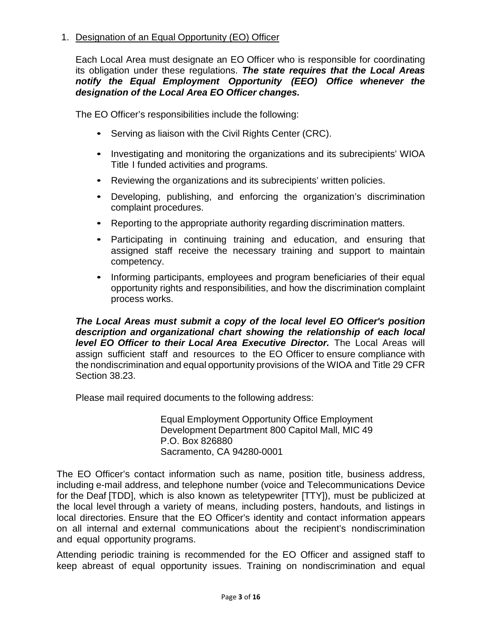# 1. Designation of an Equal Opportunity (EO) Officer

Each Local Area must designate an EO Officer who is responsible for coordinating its obligation under these regulations. *The state requires that the Local Areas notify the Equal Employment Opportunity (EEO) Office whenever the designation of the Local Area EO Officer changes.*

The EO Officer's responsibilities include the following:

- Serving as liaison with the Civil Rights Center (CRC).
- Investigating and monitoring the organizations and its subrecipients' WIOA Title I funded activities and programs.
- Reviewing the organizations and its subrecipients' written policies.
- Developing, publishing, and enforcing the organization's discrimination complaint procedures.
- Reporting to the appropriate authority regarding discrimination matters.
- Participating in continuing training and education, and ensuring that assigned staff receive the necessary training and support to maintain competency.
- Informing participants, employees and program beneficiaries of their equal opportunity rights and responsibilities, and how the discrimination complaint process works.

*The Local Areas must submit a copy of the local level EO Officer's position description and organizational chart showing the relationship of each local level EO Officer to their Local Area Executive Director.* The Local Areas will assign sufficient staff and resources to the EO Officer to ensure compliance with the nondiscrimination and equal opportunity provisions of the WIOA and Title 29 CFR Section 38.23.

Please mail required documents to the following address:

Equal Employment Opportunity Office Employment Development Department 800 Capitol Mall, MIC 49 P.O. Box 826880 Sacramento, CA 94280-0001

The EO Officer's contact information such as name, position title, business address, including e-mail address, and telephone number (voice and Telecommunications Device for the Deaf [TDD], which is also known as teletypewriter [TTY]), must be publicized at the local level through a variety of means, including posters, handouts, and listings in local directories. Ensure that the EO Officer's identity and contact information appears on all internal and external communications about the recipient's nondiscrimination and equal opportunity programs.

Attending periodic training is recommended for the EO Officer and assigned staff to keep abreast of equal opportunity issues. Training on nondiscrimination and equal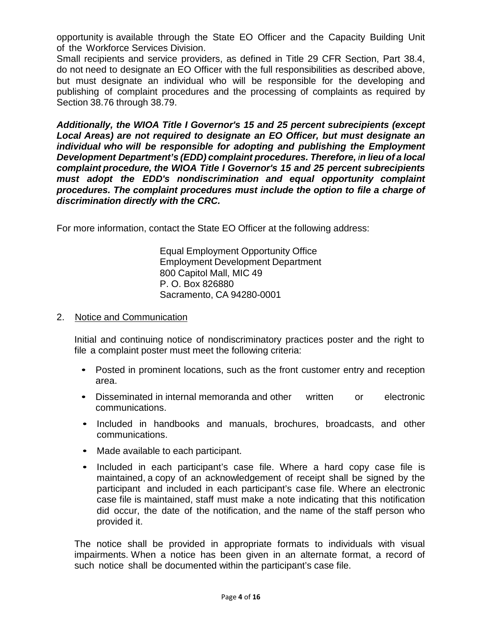opportunity is available through the State EO Officer and the Capacity Building Unit of the Workforce Services Division.

Small recipients and service providers, as defined in Title 29 CFR Section, Part 38.4, do not need to designate an EO Officer with the full responsibilities as described above, but must designate an individual who will be responsible for the developing and publishing of complaint procedures and the processing of complaints as required by Section 38.76 through 38.79.

*Additionally, the WIOA Title I Governor's 15 and 25 percent subrecipients (except Local Areas) are not required to designate an EO Officer, but must designate an individual who will be responsible for adopting and publishing the Employment Development Department's (EDD) complaint procedures. Therefore, in lieu of a local complaint procedure, the WIOA Title I Governor's 15 and 25 percent subrecipients must adopt the EDD's nondiscrimination and equal opportunity complaint procedures. The complaint procedures must include the option to file a charge of discrimination directly with the CRC.*

For more information, contact the State EO Officer at the following address:

Equal Employment Opportunity Office Employment Development Department 800 Capitol Mall, MIC 49 P. O. Box 826880 Sacramento, CA 94280-0001

# 2. Notice and Communication

Initial and continuing notice of nondiscriminatory practices poster and the right to file a complaint poster must meet the following criteria:

- Posted in prominent locations, such as the front customer entry and reception area.
- Disseminated in internal memoranda and other written or electronic communications.
- Included in handbooks and manuals, brochures, broadcasts, and other communications.
- Made available to each participant.
- Included in each participant's case file. Where a hard copy case file is maintained, a copy of an acknowledgement of receipt shall be signed by the participant and included in each participant's case file. Where an electronic case file is maintained, staff must make a note indicating that this notification did occur, the date of the notification, and the name of the staff person who provided it.

The notice shall be provided in appropriate formats to individuals with visual impairments. When a notice has been given in an alternate format, a record of such notice shall be documented within the participant's case file.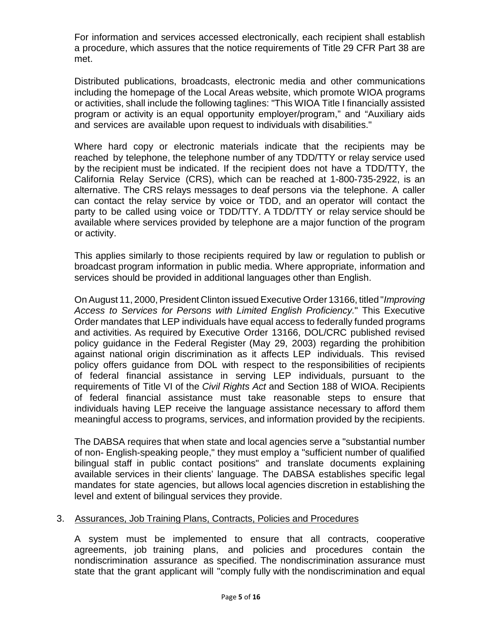For information and services accessed electronically, each recipient shall establish a procedure, which assures that the notice requirements of Title 29 CFR Part 38 are met.

Distributed publications, broadcasts, electronic media and other communications including the homepage of the Local Areas website, which promote WIOA programs or activities, shall include the following taglines: "This WIOA Title I financially assisted program or activity is an equal opportunity employer/program," and "Auxiliary aids and services are available upon request to individuals with disabilities."

Where hard copy or electronic materials indicate that the recipients may be reached by telephone, the telephone number of any TDD/TTY or relay service used by the recipient must be indicated. If the recipient does not have a TDD/TTY, the California Relay Service (CRS), which can be reached at 1-800-735-2922, is an alternative. The CRS relays messages to deaf persons via the telephone. A caller can contact the relay service by voice or TDD, and an operator will contact the party to be called using voice or TDD/TTY. A TDD/TTY or relay service should be available where services provided by telephone are a major function of the program or activity.

This applies similarly to those recipients required by law or regulation to publish or broadcast program information in public media. Where appropriate, information and services should be provided in additional languages other than English.

On August 11, 2000, President Clinton issued Executive Order 13166, titled "*Improving Access to Services for Persons with Limited English Proficiency.*" This Executive Order mandates that LEP individuals have equal access to federally funded programs and activities. As required by Executive Order 13166, DOL/CRC published revised policy guidance in the Federal Register (May 29, 2003) regarding the prohibition against national origin discrimination as it affects LEP individuals. This revised policy offers guidance from DOL with respect to the responsibilities of recipients of federal financial assistance in serving LEP individuals, pursuant to the requirements of Title VI of the *Civil Rights Act* and Section 188 of WIOA. Recipients of federal financial assistance must take reasonable steps to ensure that individuals having LEP receive the language assistance necessary to afford them meaningful access to programs, services, and information provided by the recipients.

The DABSA requires that when state and local agencies serve a "substantial number of non- English-speaking people," they must employ a "sufficient number of qualified bilingual staff in public contact positions" and translate documents explaining available services in their clients' language. The DABSA establishes specific legal mandates for state agencies, but allows local agencies discretion in establishing the level and extent of bilingual services they provide.

# 3. Assurances, Job Training Plans, Contracts, Policies and Procedures

A system must be implemented to ensure that all contracts, cooperative agreements, job training plans, and policies and procedures contain the nondiscrimination assurance as specified. The nondiscrimination assurance must state that the grant applicant will "comply fully with the nondiscrimination and equal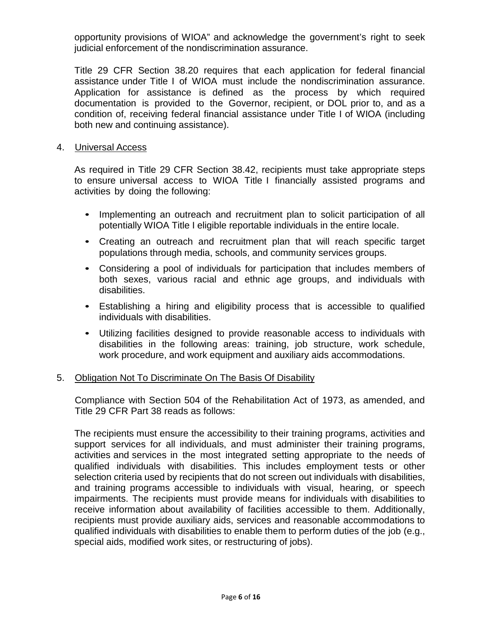opportunity provisions of WIOA" and acknowledge the government's right to seek judicial enforcement of the nondiscrimination assurance.

Title 29 CFR Section 38.20 requires that each application for federal financial assistance under Title I of WIOA must include the nondiscrimination assurance. Application for assistance is defined as the process by which required documentation is provided to the Governor, recipient, or DOL prior to, and as a condition of, receiving federal financial assistance under Title I of WIOA (including both new and continuing assistance).

#### 4. Universal Access

As required in Title 29 CFR Section 38.42, recipients must take appropriate steps to ensure universal access to WIOA Title I financially assisted programs and activities by doing the following:

- Implementing an outreach and recruitment plan to solicit participation of all potentially WIOA Title I eligible reportable individuals in the entire locale.
- Creating an outreach and recruitment plan that will reach specific target populations through media, schools, and community services groups.
- Considering a pool of individuals for participation that includes members of both sexes, various racial and ethnic age groups, and individuals with disabilities.
- Establishing a hiring and eligibility process that is accessible to qualified individuals with disabilities.
- Utilizing facilities designed to provide reasonable access to individuals with disabilities in the following areas: training, job structure, work schedule, work procedure, and work equipment and auxiliary aids accommodations.

#### 5. Obligation Not To Discriminate On The Basis Of Disability

Compliance with Section 504 of the Rehabilitation Act of 1973, as amended, and Title 29 CFR Part 38 reads as follows:

The recipients must ensure the accessibility to their training programs, activities and support services for all individuals, and must administer their training programs, activities and services in the most integrated setting appropriate to the needs of qualified individuals with disabilities. This includes employment tests or other selection criteria used by recipients that do not screen out individuals with disabilities, and training programs accessible to individuals with visual, hearing, or speech impairments. The recipients must provide means for individuals with disabilities to receive information about availability of facilities accessible to them. Additionally, recipients must provide auxiliary aids, services and reasonable accommodations to qualified individuals with disabilities to enable them to perform duties of the job (e.g., special aids, modified work sites, or restructuring of jobs).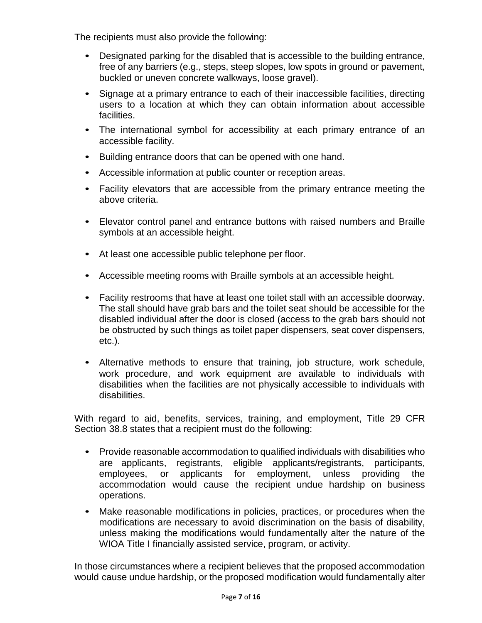The recipients must also provide the following:

- Designated parking for the disabled that is accessible to the building entrance, free of any barriers (e.g., steps, steep slopes, low spots in ground or pavement, buckled or uneven concrete walkways, loose gravel).
- Signage at a primary entrance to each of their inaccessible facilities, directing users to a location at which they can obtain information about accessible facilities.
- The international symbol for accessibility at each primary entrance of an accessible facility.
- Building entrance doors that can be opened with one hand.
- Accessible information at public counter or reception areas.
- Facility elevators that are accessible from the primary entrance meeting the above criteria.
- Elevator control panel and entrance buttons with raised numbers and Braille symbols at an accessible height.
- At least one accessible public telephone per floor.
- Accessible meeting rooms with Braille symbols at an accessible height.
- Facility restrooms that have at least one toilet stall with an accessible doorway. The stall should have grab bars and the toilet seat should be accessible for the disabled individual after the door is closed (access to the grab bars should not be obstructed by such things as toilet paper dispensers, seat cover dispensers, etc.).
- Alternative methods to ensure that training, job structure, work schedule, work procedure, and work equipment are available to individuals with disabilities when the facilities are not physically accessible to individuals with disabilities.

With regard to aid, benefits, services, training, and employment, Title 29 CFR Section 38.8 states that a recipient must do the following:

- Provide reasonable accommodation to qualified individuals with disabilities who are applicants, registrants, eligible applicants/registrants, participants, employees, or applicants for employment, unless providing the accommodation would cause the recipient undue hardship on business operations.
- Make reasonable modifications in policies, practices, or procedures when the modifications are necessary to avoid discrimination on the basis of disability, unless making the modifications would fundamentally alter the nature of the WIOA Title I financially assisted service, program, or activity.

In those circumstances where a recipient believes that the proposed accommodation would cause undue hardship, or the proposed modification would fundamentally alter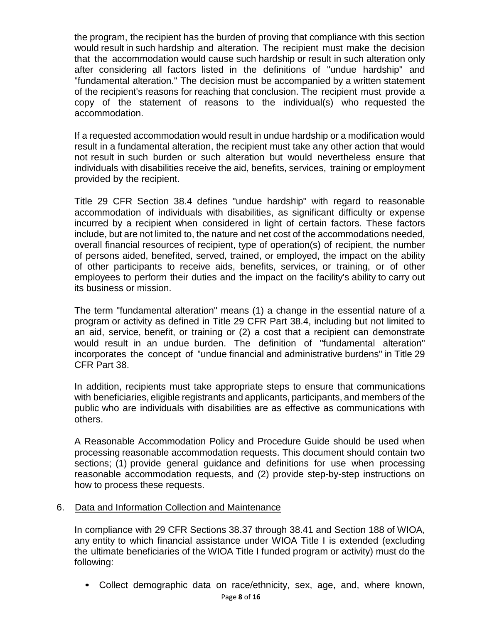the program, the recipient has the burden of proving that compliance with this section would result in such hardship and alteration. The recipient must make the decision that the accommodation would cause such hardship or result in such alteration only after considering all factors listed in the definitions of "undue hardship" and "fundamental alteration." The decision must be accompanied by a written statement of the recipient's reasons for reaching that conclusion. The recipient must provide a copy of the statement of reasons to the individual(s) who requested the accommodation.

If a requested accommodation would result in undue hardship or a modification would result in a fundamental alteration, the recipient must take any other action that would not result in such burden or such alteration but would nevertheless ensure that individuals with disabilities receive the aid, benefits, services, training or employment provided by the recipient.

Title 29 CFR Section 38.4 defines "undue hardship" with regard to reasonable accommodation of individuals with disabilities, as significant difficulty or expense incurred by a recipient when considered in light of certain factors. These factors include, but are not limited to, the nature and net cost of the accommodations needed, overall financial resources of recipient, type of operation(s) of recipient, the number of persons aided, benefited, served, trained, or employed, the impact on the ability of other participants to receive aids, benefits, services, or training, or of other employees to perform their duties and the impact on the facility's ability to carry out its business or mission.

The term "fundamental alteration" means (1) a change in the essential nature of a program or activity as defined in Title 29 CFR Part 38.4, including but not limited to an aid, service, benefit, or training or (2) a cost that a recipient can demonstrate would result in an undue burden. The definition of "fundamental alteration" incorporates the concept of "undue financial and administrative burdens" in Title 29 CFR Part 38.

In addition, recipients must take appropriate steps to ensure that communications with beneficiaries, eligible registrants and applicants, participants, and members of the public who are individuals with disabilities are as effective as communications with others.

A Reasonable Accommodation Policy and Procedure Guide should be used when processing reasonable accommodation requests. This document should contain two sections; (1) provide general guidance and definitions for use when processing reasonable accommodation requests, and (2) provide step-by-step instructions on how to process these requests.

#### 6. Data and Information Collection and Maintenance

In compliance with 29 CFR Sections 38.37 through 38.41 and Section 188 of WIOA, any entity to which financial assistance under WIOA Title I is extended (excluding the ultimate beneficiaries of the WIOA Title I funded program or activity) must do the following:

• Collect demographic data on race/ethnicity, sex, age, and, where known, Page **8** of **16**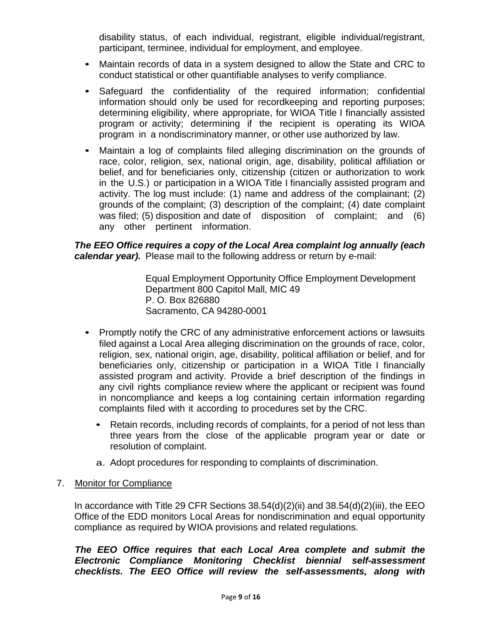disability status, of each individual, registrant, eligible individual/registrant, participant, terminee, individual for employment, and employee.

- Maintain records of data in a system designed to allow the State and CRC to conduct statistical or other quantifiable analyses to verify compliance.
- Safeguard the confidentiality of the required information; confidential information should only be used for recordkeeping and reporting purposes; determining eligibility, where appropriate, for WIOA Title I financially assisted program or activity; determining if the recipient is operating its WIOA program in a nondiscriminatory manner, or other use authorized by law.
- Maintain a log of complaints filed alleging discrimination on the grounds of race, color, religion, sex, national origin, age, disability, political affiliation or belief, and for beneficiaries only, citizenship (citizen or authorization to work in the U.S.) or participation in a WIOA Title I financially assisted program and activity. The log must include: (1) name and address of the complainant; (2) grounds of the complaint; (3) description of the complaint; (4) date complaint was filed; (5) disposition and date of disposition of complaint; and (6) any other pertinent information.

*The EEO Office requires a copy of the Local Area complaint log annually (each calendar year).* Please mail to the following address or return by e-mail:

> Equal Employment Opportunity Office Employment Development Department 800 Capitol Mall, MIC 49 P. O. Box 826880 Sacramento, CA 94280-0001

- Promptly notify the CRC of any administrative enforcement actions or lawsuits filed against a Local Area alleging discrimination on the grounds of race, color, religion, sex, national origin, age, disability, political affiliation or belief, and for beneficiaries only, citizenship or participation in a WIOA Title I financially assisted program and activity. Provide a brief description of the findings in any civil rights compliance review where the applicant or recipient was found in noncompliance and keeps a log containing certain information regarding complaints filed with it according to procedures set by the CRC.
	- Retain records, including records of complaints, for a period of not less than three years from the close of the applicable program year or date or resolution of complaint.
	- a. Adopt procedures for responding to complaints of discrimination.

# 7. Monitor for Compliance

In accordance with Title 29 CFR Sections  $38.54(d)(2)(ii)$  and  $38.54(d)(2)(iii)$ , the EEO Office of the EDD monitors Local Areas for nondiscrimination and equal opportunity compliance as required by WIOA provisions and related regulations.

*The EEO Office requires that each Local Area complete and submit the Electronic Compliance Monitoring Checklist biennial self-assessment checklists. The EEO Office will review the self-assessments, along with*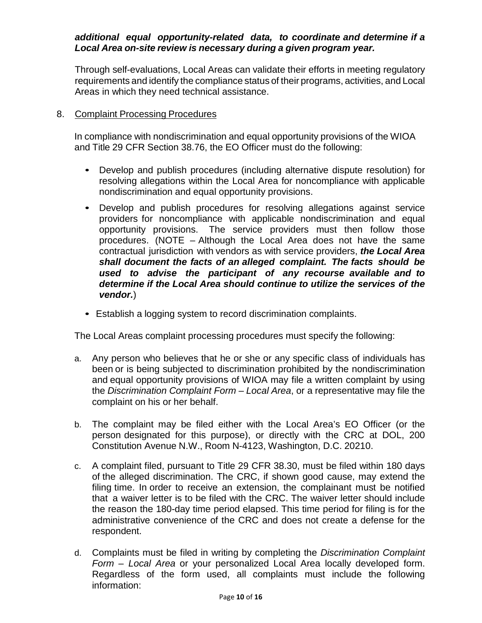### *additional equal opportunity-related data, to coordinate and determine if a Local Area on-site review is necessary during a given program year.*

Through self-evaluations, Local Areas can validate their efforts in meeting regulatory requirements and identify the compliance status of their programs, activities, and Local Areas in which they need technical assistance.

### 8. Complaint Processing Procedures

In compliance with nondiscrimination and equal opportunity provisions of the WIOA and Title 29 CFR Section 38.76, the EO Officer must do the following:

- Develop and publish procedures (including alternative dispute resolution) for resolving allegations within the Local Area for noncompliance with applicable nondiscrimination and equal opportunity provisions.
- Develop and publish procedures for resolving allegations against service providers for noncompliance with applicable nondiscrimination and equal opportunity provisions. The service providers must then follow those procedures. (NOTE – Although the Local Area does not have the same contractual jurisdiction with vendors as with service providers, *the Local Area shall document the facts of an alleged complaint. The facts should be used to advise the participant of any recourse available and to determine if the Local Area should continue to utilize the services of the vendor.*)
- Establish a logging system to record discrimination complaints.

The Local Areas complaint processing procedures must specify the following:

- a. Any person who believes that he or she or any specific class of individuals has been or is being subjected to discrimination prohibited by the nondiscrimination and equal opportunity provisions of WIOA may file a written complaint by using the *Discrimination Complaint Form – Local Area*, or a representative may file the complaint on his or her behalf.
- b. The complaint may be filed either with the Local Area's EO Officer (or the person designated for this purpose), or directly with the CRC at DOL, 200 Constitution Avenue N.W., Room N-4123, Washington, D.C. 20210.
- c. A complaint filed, pursuant to Title 29 CFR 38.30, must be filed within 180 days of the alleged discrimination. The CRC, if shown good cause, may extend the filing time. In order to receive an extension, the complainant must be notified that a waiver letter is to be filed with the CRC. The waiver letter should include the reason the 180-day time period elapsed. This time period for filing is for the administrative convenience of the CRC and does not create a defense for the respondent.
- d. Complaints must be filed in writing by completing the *Discrimination Complaint Form – Local Area* or your personalized Local Area locally developed form. Regardless of the form used, all complaints must include the following information: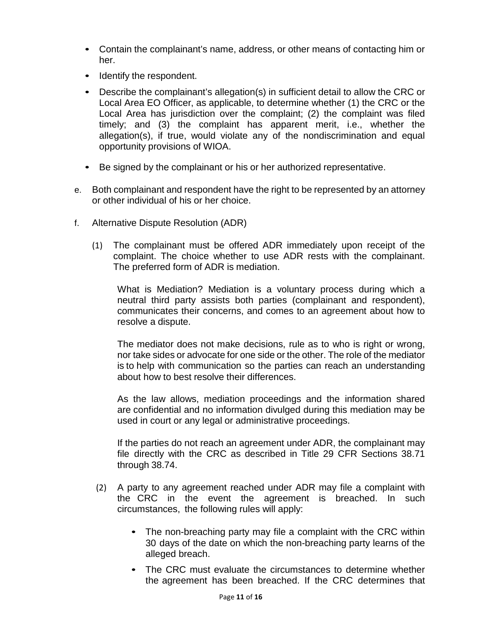- Contain the complainant's name, address, or other means of contacting him or her.
- Identify the respondent.
- Describe the complainant's allegation(s) in sufficient detail to allow the CRC or Local Area EO Officer, as applicable, to determine whether (1) the CRC or the Local Area has jurisdiction over the complaint; (2) the complaint was filed timely; and (3) the complaint has apparent merit, i.e., whether the allegation(s), if true, would violate any of the nondiscrimination and equal opportunity provisions of WIOA.
- Be signed by the complainant or his or her authorized representative.
- e. Both complainant and respondent have the right to be represented by an attorney or other individual of his or her choice.
- f. Alternative Dispute Resolution (ADR)
	- (1) The complainant must be offered ADR immediately upon receipt of the complaint. The choice whether to use ADR rests with the complainant. The preferred form of ADR is mediation.

What is Mediation? Mediation is a voluntary process during which a neutral third party assists both parties (complainant and respondent), communicates their concerns, and comes to an agreement about how to resolve a dispute.

The mediator does not make decisions, rule as to who is right or wrong, nor take sides or advocate for one side or the other. The role of the mediator is to help with communication so the parties can reach an understanding about how to best resolve their differences.

As the law allows, mediation proceedings and the information shared are confidential and no information divulged during this mediation may be used in court or any legal or administrative proceedings.

If the parties do not reach an agreement under ADR, the complainant may file directly with the CRC as described in Title 29 CFR Sections 38.71 through 38.74.

- (2) A party to any agreement reached under ADR may file a complaint with the CRC in the event the agreement is breached. In such circumstances, the following rules will apply:
	- The non-breaching party may file a complaint with the CRC within 30 days of the date on which the non-breaching party learns of the alleged breach.
	- The CRC must evaluate the circumstances to determine whether the agreement has been breached. If the CRC determines that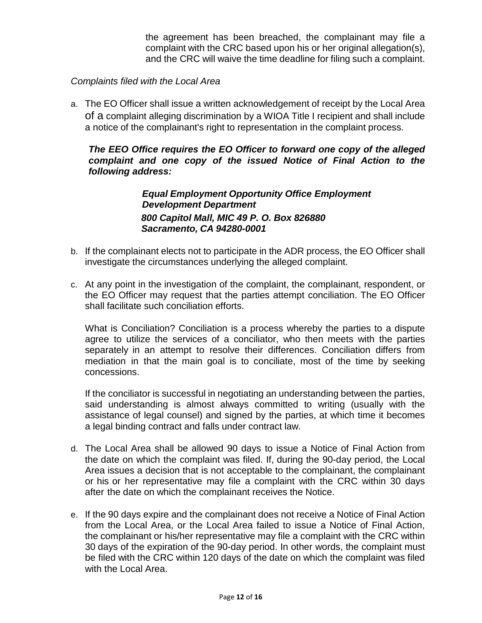the agreement has been breached, the complainant may file a complaint with the CRC based upon his or her original allegation(s), and the CRC will waive the time deadline for filing such a complaint.

### *Complaints filed with the Local Area*

a. The EO Officer shall issue a written acknowledgement of receipt by the Local Area of a complaint alleging discrimination by a WIOA Title I recipient and shall include a notice of the complainant's right to representation in the complaint process.

### *The EEO Office requires the EO Officer to forward one copy of the alleged complaint and one copy of the issued Notice of Final Action to the following address:*

*Equal Employment Opportunity Office Employment Development Department 800 Capitol Mall, MIC 49 P. O. Box 826880 Sacramento, CA 94280-0001*

- b. If the complainant elects not to participate in the ADR process, the EO Officer shall investigate the circumstances underlying the alleged complaint.
- c. At any point in the investigation of the complaint, the complainant, respondent, or the EO Officer may request that the parties attempt conciliation. The EO Officer shall facilitate such conciliation efforts.

What is Conciliation? Conciliation is a process whereby the parties to a dispute agree to utilize the services of a conciliator, who then meets with the parties separately in an attempt to resolve their differences. Conciliation differs from mediation in that the main goal is to conciliate, most of the time by seeking concessions.

If the conciliator is successful in negotiating an understanding between the parties, said understanding is almost always committed to writing (usually with the assistance of legal counsel) and signed by the parties, at which time it becomes a legal binding contract and falls under contract law.

- d. The Local Area shall be allowed 90 days to issue a Notice of Final Action from the date on which the complaint was filed. If, during the 90-day period, the Local Area issues a decision that is not acceptable to the complainant, the complainant or his or her representative may file a complaint with the CRC within 30 days after the date on which the complainant receives the Notice.
- e. If the 90 days expire and the complainant does not receive a Notice of Final Action from the Local Area, or the Local Area failed to issue a Notice of Final Action, the complainant or his/her representative may file a complaint with the CRC within 30 days of the expiration of the 90-day period. In other words, the complaint must be filed with the CRC within 120 days of the date on which the complaint was filed with the Local Area.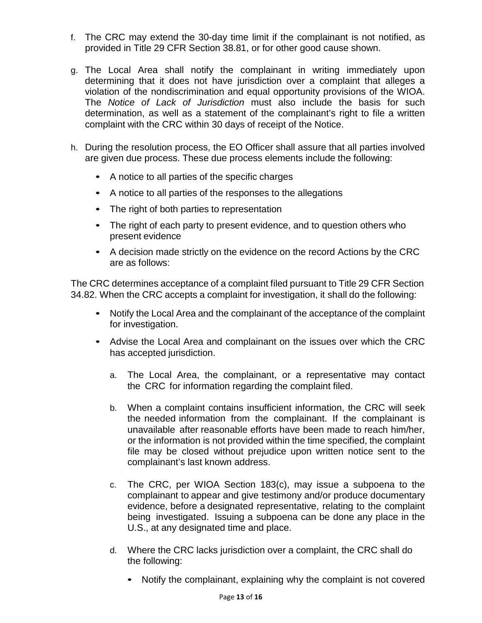- f. The CRC may extend the 30-day time limit if the complainant is not notified, as provided in Title 29 CFR Section 38.81, or for other good cause shown.
- g. The Local Area shall notify the complainant in writing immediately upon determining that it does not have jurisdiction over a complaint that alleges a violation of the nondiscrimination and equal opportunity provisions of the WIOA. The *Notice of Lack of Jurisdiction* must also include the basis for such determination, as well as a statement of the complainant's right to file a written complaint with the CRC within 30 days of receipt of the Notice.
- h. During the resolution process, the EO Officer shall assure that all parties involved are given due process. These due process elements include the following:
	- A notice to all parties of the specific charges
	- A notice to all parties of the responses to the allegations
	- The right of both parties to representation
	- The right of each party to present evidence, and to question others who present evidence
	- A decision made strictly on the evidence on the record Actions by the CRC are as follows:

The CRC determines acceptance of a complaint filed pursuant to Title 29 CFR Section 34.82. When the CRC accepts a complaint for investigation, it shall do the following:

- Notify the Local Area and the complainant of the acceptance of the complaint for investigation.
- Advise the Local Area and complainant on the issues over which the CRC has accepted jurisdiction.
	- a. The Local Area, the complainant, or a representative may contact the CRC for information regarding the complaint filed.
	- b. When a complaint contains insufficient information, the CRC will seek the needed information from the complainant. If the complainant is unavailable after reasonable efforts have been made to reach him/her, or the information is not provided within the time specified, the complaint file may be closed without prejudice upon written notice sent to the complainant's last known address.
	- c. The CRC, per WIOA Section 183(c), may issue a subpoena to the complainant to appear and give testimony and/or produce documentary evidence, before a designated representative, relating to the complaint being investigated. Issuing a subpoena can be done any place in the U.S., at any designated time and place.
	- d. Where the CRC lacks jurisdiction over a complaint, the CRC shall do the following:
		- Notify the complainant, explaining why the complaint is not covered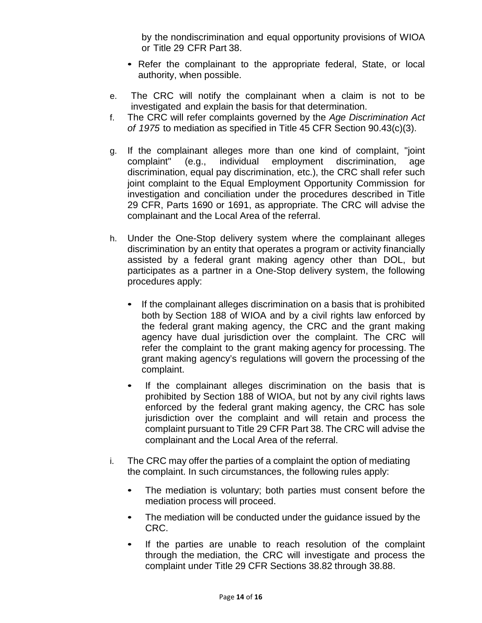by the nondiscrimination and equal opportunity provisions of WIOA or Title 29 CFR Part 38.

- Refer the complainant to the appropriate federal, State, or local authority, when possible.
- e. The CRC will notify the complainant when a claim is not to be investigated and explain the basis for that determination.
- f. The CRC will refer complaints governed by the *Age Discrimination Act of 1975* to mediation as specified in Title 45 CFR Section 90.43(c)(3).
- g. If the complainant alleges more than one kind of complaint, "joint complaint" (e.g., individual employment discrimination, age discrimination, equal pay discrimination, etc.), the CRC shall refer such joint complaint to the Equal Employment Opportunity Commission for investigation and conciliation under the procedures described in Title 29 CFR, Parts 1690 or 1691, as appropriate. The CRC will advise the complainant and the Local Area of the referral.
- h. Under the One-Stop delivery system where the complainant alleges discrimination by an entity that operates a program or activity financially assisted by a federal grant making agency other than DOL, but participates as a partner in a One-Stop delivery system, the following procedures apply:
	- If the complainant alleges discrimination on a basis that is prohibited both by Section 188 of WIOA and by a civil rights law enforced by the federal grant making agency, the CRC and the grant making agency have dual jurisdiction over the complaint. The CRC will refer the complaint to the grant making agency for processing. The grant making agency's regulations will govern the processing of the complaint.
	- If the complainant alleges discrimination on the basis that is prohibited by Section 188 of WIOA, but not by any civil rights laws enforced by the federal grant making agency, the CRC has sole jurisdiction over the complaint and will retain and process the complaint pursuant to Title 29 CFR Part 38. The CRC will advise the complainant and the Local Area of the referral.
- i. The CRC may offer the parties of a complaint the option of mediating the complaint. In such circumstances, the following rules apply:
	- The mediation is voluntary; both parties must consent before the mediation process will proceed.
	- The mediation will be conducted under the guidance issued by the CRC.
	- If the parties are unable to reach resolution of the complaint through the mediation, the CRC will investigate and process the complaint under Title 29 CFR Sections 38.82 through 38.88.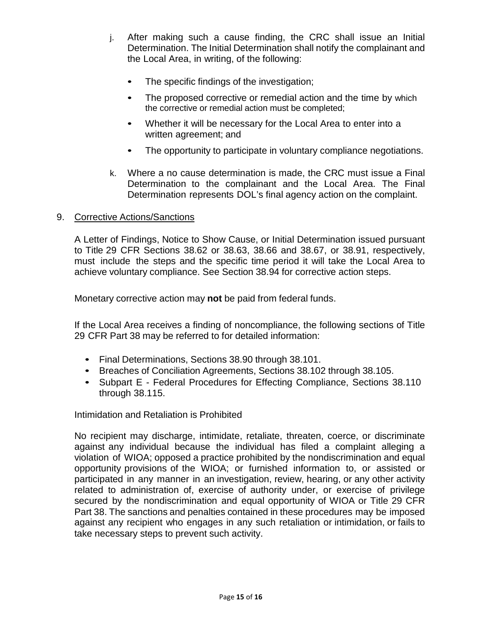- j. After making such a cause finding, the CRC shall issue an Initial Determination. The Initial Determination shall notify the complainant and the Local Area, in writing, of the following:
	- The specific findings of the investigation;
	- The proposed corrective or remedial action and the time by which the corrective or remedial action must be completed;
	- Whether it will be necessary for the Local Area to enter into a written agreement; and
	- The opportunity to participate in voluntary compliance negotiations.
- k. Where a no cause determination is made, the CRC must issue a Final Determination to the complainant and the Local Area. The Final Determination represents DOL's final agency action on the complaint.

### 9. Corrective Actions/Sanctions

A Letter of Findings, Notice to Show Cause, or Initial Determination issued pursuant to Title 29 CFR Sections 38.62 or 38.63, 38.66 and 38.67, or 38.91, respectively, must include the steps and the specific time period it will take the Local Area to achieve voluntary compliance. See Section 38.94 for corrective action steps.

Monetary corrective action may **not** be paid from federal funds.

If the Local Area receives a finding of noncompliance, the following sections of Title 29 CFR Part 38 may be referred to for detailed information:

- Final Determinations, Sections 38.90 through 38.101.
- Breaches of Conciliation Agreements, Sections 38.102 through 38.105.
- Subpart E Federal Procedures for Effecting Compliance, Sections 38.110 through 38.115.

Intimidation and Retaliation is Prohibited

No recipient may discharge, intimidate, retaliate, threaten, coerce, or discriminate against any individual because the individual has filed a complaint alleging a violation of WIOA; opposed a practice prohibited by the nondiscrimination and equal opportunity provisions of the WIOA; or furnished information to, or assisted or participated in any manner in an investigation, review, hearing, or any other activity related to administration of, exercise of authority under, or exercise of privilege secured by the nondiscrimination and equal opportunity of WIOA or Title 29 CFR Part 38. The sanctions and penalties contained in these procedures may be imposed against any recipient who engages in any such retaliation or intimidation, or fails to take necessary steps to prevent such activity.